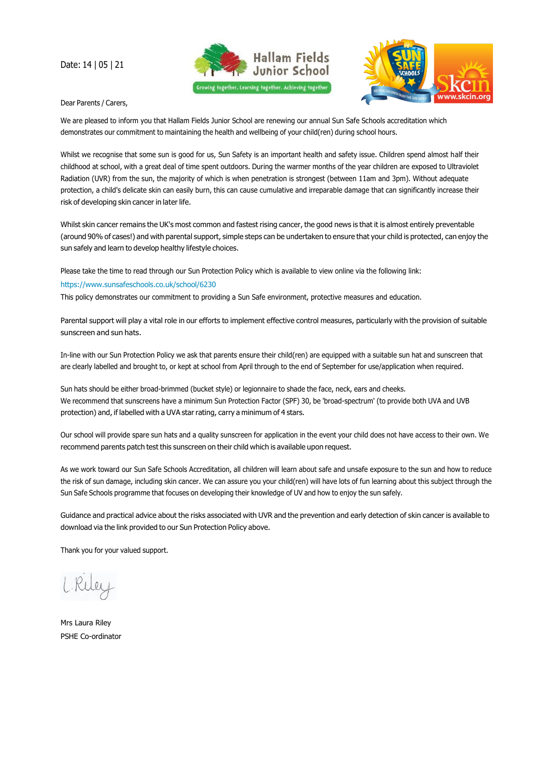Date: 14 | 05 | 21





Dear Parents / Carers,

We are pleased to inform you that Hallam Fields Junior School are renewing our annual Sun Safe Schools accreditation which demonstrates our commitment to maintaining the health and wellbeing of your child(ren) during school hours.

Whilst we recognise that some sun is good for us, Sun Safety is an important health and safety issue. Children spend almost half their childhood at school, with a great deal of time spent outdoors. During the warmer months of the year children are exposed to Ultraviolet Radiation (UVR) from the sun, the majority of which is when penetration is strongest (between 11am and 3pm). Without adequate protection, a child's delicate skin can easily burn, this can cause cumulative and irreparable damage that can significantly increase their risk of developing skin cancer in later life.

Whilst skin cancer remains the UK's most common and fastest rising cancer, the good news is that it is almost entirely preventable (around 90% of cases!) and with parental support, simple steps can be undertaken to ensure that your child is protected, can enjoy the sun safely and learn to develop healthy lifestyle choices.

Please take the time to read through our Sun Protection Policy which is available to view online via the following link:

## [https://www.sunsafeschools.co.uk/school/6230](http://www.sunsafeschools.co.uk/school/6230)

This policy demonstrates our commitment to providing a Sun Safe environment, protective measures and education.

Parental support will play a vital role in our efforts to implement effective control measures, particularly with the provision of suitable sunscreen and sun hats.

In-line with our Sun Protection Policy we ask that parents ensure their child(ren) are equipped with a suitable sun hat and sunscreen that are clearly labelled and brought to, or kept at school from April through to the end of September for use/application when required.

Sun hats should be either broad-brimmed (bucket style) or legionnaire to shade the face, neck, ears and cheeks. We recommend that sunscreens have a minimum Sun Protection Factor (SPF) 30, be 'broad-spectrum' (to provide both UVA and UVB protection) and, if labelled with a UVA star rating, carry a minimum of 4 stars.

Our school will provide spare sun hats and a quality sunscreen for application in the event your child does not have access to their own. We recommend parents patch test this sunscreen on their child which is available upon request.

As we work toward our Sun Safe Schools Accreditation, all children will learn about safe and unsafe exposure to the sun and how to reduce the risk of sun damage, including skin cancer. We can assure you your child(ren) will have lots of fun learning about this subject through the Sun Safe Schools programme that focuses on developing their knowledge of UV and how to enjoy the sun safely.

Guidance and practical advice about the risks associated with UVR and the prevention and early detection of skin cancer is available to download via the link provided to our Sun Protection Policy above.

Thank you for your valued support.

Mrs Laura Riley PSHE Co-ordinator